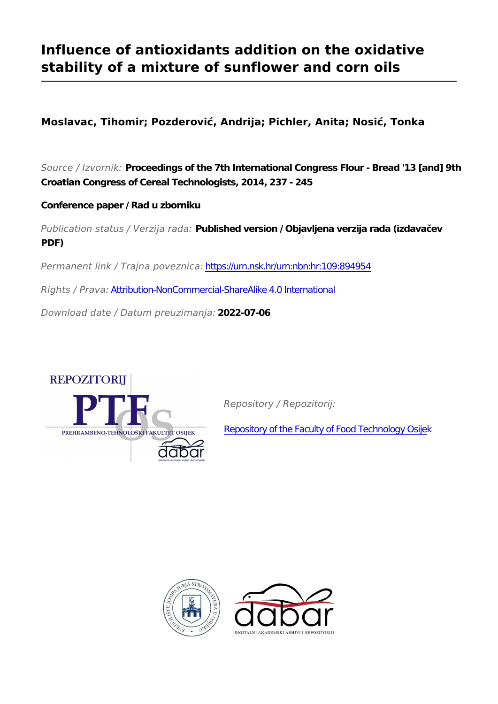# **Influence of antioxidants addition on the oxidative stability of a mixture of sunflower and corn oils**

**Moslavac, Tihomir; Pozderović, Andrija; Pichler, Anita; Nosić, Tonka**

*Source / Izvornik:* **Proceedings of the 7th International Congress Flour - Bread '13 [and] 9th Croatian Congress of Cereal Technologists, 2014, 237 - 245**

**Conference paper / Rad u zborniku**

*Publication status / Verzija rada:* **Published version / Objavljena verzija rada (izdavačev PDF)**

*Permanent link / Trajna poveznica:* <https://urn.nsk.hr/urn:nbn:hr:109:894954>

*Rights / Prava:* [Attribution-NonCommercial-ShareAlike 4.0 International](http://creativecommons.org/licenses/by-nc-sa/4.0/)

*Download date / Datum preuzimanja:* **2022-07-06**



*Repository / Repozitorij:*

[Repository of the Faculty of Food Technology Osijek](https://repozitorij.ptfos.hr)



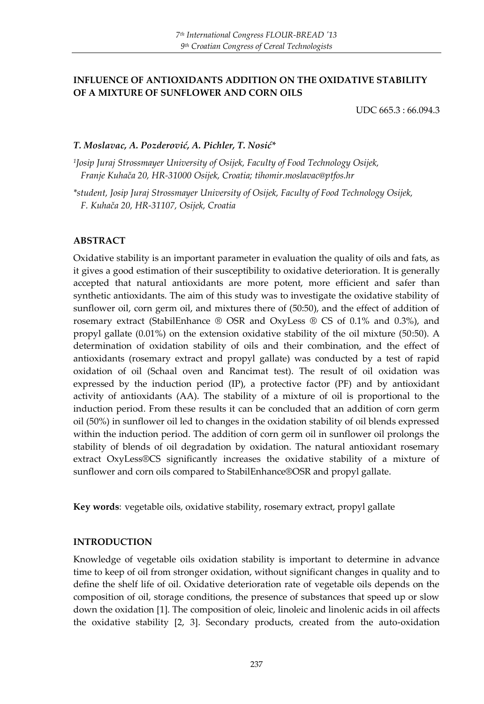#### **INFLUENCE OF ANTIOXIDANTS ADDITION ON THE OXIDATIVE STABILITY OF A MIXTURE OF SUNFLOWER AND CORN OILS**

UDC 665.3 : 66.094.3

#### *T. Moslavac, A. Pozderović, A. Pichler, T. Nosić\**

*1 Josip Juraj Strossmayer University of Osijek, Faculty of Food Technology Osijek, Franje Kuhača 20, HR-31000 Osijek, Croatia; tihomir.moslavac@ptfos.hr*

*\*student, Josip Juraj Strossmayer University of Osijek, Faculty of Food Technology Osijek, F. Kuhača 20, HR-31107, Osijek, Croatia*

#### **ABSTRACT**

Oxidative stability is an important parameter in evaluation the quality of oils and fats, as it gives a good estimation of their susceptibility to oxidative deterioration. It is generally accepted that natural antioxidants are more potent, more efficient and safer than synthetic antioxidants. The aim of this study was to investigate the oxidative stability of sunflower oil, corn germ oil, and mixtures there of (50:50), and the effect of addition of rosemary extract (StabilEnhance ® OSR and OxyLess ® CS of 0.1% and 0.3%), and propyl gallate (0.01%) on the extension oxidative stability of the oil mixture (50:50). A determination of oxidation stability of oils and their combination, and the effect of antioxidants (rosemary extract and propyl gallate) was conducted by a test of rapid oxidation of oil (Schaal oven and Rancimat test). The result of oil oxidation was expressed by the induction period (IP), a protective factor (PF) and by antioxidant activity of antioxidants (AA). The stability of a mixture of oil is proportional to the induction period. From these results it can be concluded that an addition of corn germ oil (50%) in sunflower oil led to changes in the oxidation stability of oil blends expressed within the induction period. The addition of corn germ oil in sunflower oil prolongs the stability of blends of oil degradation by oxidation. The natural antioxidant rosemary extract OxyLess®CS significantly increases the oxidative stability of a mixture of sunflower and corn oils compared to StabilEnhance®OSR and propyl gallate.

**Key words**: vegetable oils, oxidative stability, rosemary extract, propyl gallate

#### **INTRODUCTION**

Knowledge of vegetable oils oxidation stability is important to determine in advance time to keep of oil from stronger oxidation, without significant changes in quality and to define the shelf life of oil. Oxidative deterioration rate of vegetable oils depends on the composition of oil, storage conditions, the presence of substances that speed up or slow down the oxidation [1]. The composition of oleic, linoleic and linolenic acids in oil affects the oxidative stability [2, 3]. Secondary products, created from the auto-oxidation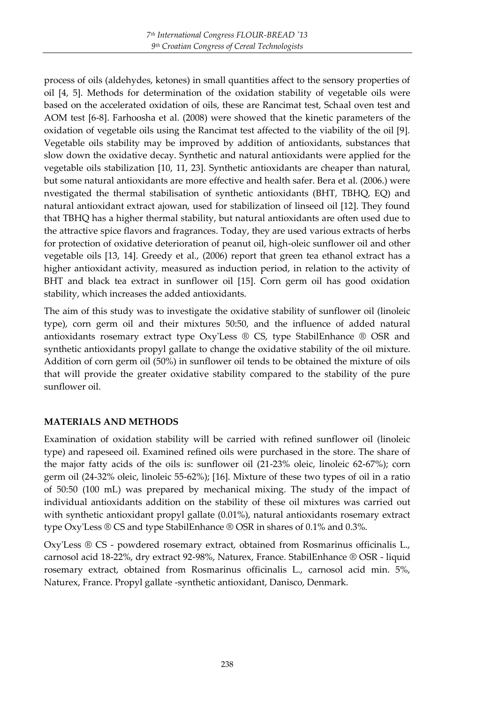process of oils (aldehydes, ketones) in small quantities affect to the sensory properties of oil [4, 5]. Methods for determination of the oxidation stability of vegetable oils were based on the accelerated oxidation of oils, these are Rancimat test, Schaal oven test and AOM test [6-8]. Farhoosha et al. (2008) were showed that the kinetic parameters of the oxidation of vegetable oils using the Rancimat test affected to the viability of the oil [9]. Vegetable oils stability may be improved by addition of antioxidants, substances that slow down the oxidative decay. Synthetic and natural antioxidants were applied for the vegetable oils stabilization [10, 11, 23]. Synthetic antioxidants are cheaper than natural, but some natural antioxidants are more effective and health safer. Bera et al. (2006.) were nvestigated the thermal stabilisation of synthetic antioxidants (BHT, TBHQ, EQ) and natural antioxidant extract ajowan, used for stabilization of linseed oil [12]. They found that TBHQ has a higher thermal stability, but natural antioxidants are often used due to the attractive spice flavors and fragrances. Today, they are used various extracts of herbs for protection of oxidative deterioration of peanut oil, high-oleic sunflower oil and other vegetable oils [13, 14]. Greedy et al., (2006) report that green tea ethanol extract has a higher antioxidant activity, measured as induction period, in relation to the activity of BHT and black tea extract in sunflower oil [15]. Corn germ oil has good oxidation stability, which increases the added antioxidants.

The aim of this study was to investigate the oxidative stability of sunflower oil (linoleic type), corn germ oil and their mixtures 50:50, and the influence of added natural antioxidants rosemary extract type Oxy'Less ® CS, type StabilEnhance ® OSR and synthetic antioxidants propyl gallate to change the oxidative stability of the oil mixture. Addition of corn germ oil (50%) in sunflower oil tends to be obtained the mixture of oils that will provide the greater oxidative stability compared to the stability of the pure sunflower oil.

## **MATERIALS AND METHODS**

Examination of oxidation stability will be carried with refined sunflower oil (linoleic type) and rapeseed oil. Examined refined oils were purchased in the store. The share of the major fatty acids of the oils is: sunflower oil (21-23% oleic, linoleic 62-67%); corn germ oil (24-32% oleic, linoleic 55-62%); [16]. Mixture of these two types of oil in a ratio of 50:50 (100 mL) was prepared by mechanical mixing. The study of the impact of individual antioxidants addition on the stability of these oil mixtures was carried out with synthetic antioxidant propyl gallate (0.01%), natural antioxidants rosemary extract type Oxy'Less ® CS and type StabilEnhance ® OSR in shares of 0.1% and 0.3%.

Oxy'Less ® CS - powdered rosemary extract, obtained from Rosmarinus officinalis L., carnosol acid 18-22%, dry extract 92-98%, Naturex, France. StabilEnhance ® OSR - liquid rosemary extract, obtained from Rosmarinus officinalis L., carnosol acid min. 5%, Naturex, France. Propyl gallate -synthetic antioxidant, Danisco, Denmark.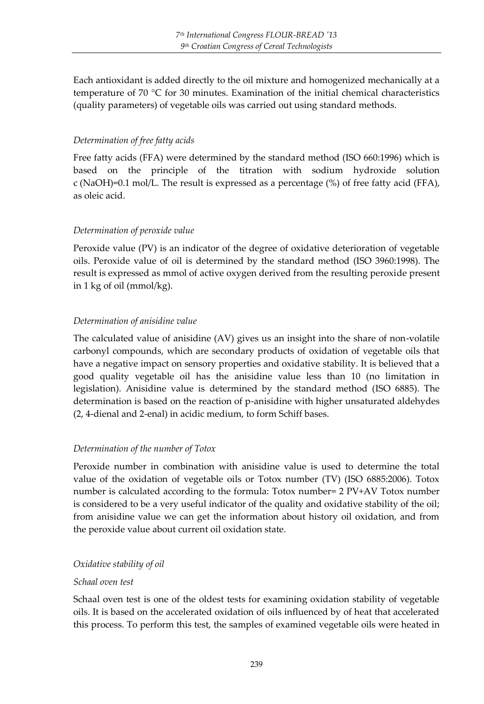Each antioxidant is added directly to the oil mixture and homogenized mechanically at a temperature of 70 °C for 30 minutes. Examination of the initial chemical characteristics (quality parameters) of vegetable oils was carried out using standard methods.

## *Determination of free fatty acids*

Free fatty acids (FFA) were determined by the standard method (ISO 660:1996) which is based on the principle of the titration with sodium hydroxide solution c (NaOH)=0.1 mol/L. The result is expressed as a percentage (%) of free fatty acid (FFA), as oleic acid.

# *Determination of peroxide value*

Peroxide value (PV) is an indicator of the degree of oxidative deterioration of vegetable oils. Peroxide value of oil is determined by the standard method (ISO 3960:1998). The result is expressed as mmol of active oxygen derived from the resulting peroxide present in 1 kg of oil (mmol/kg).

## *Determination of anisidine value*

The calculated value of anisidine (AV) gives us an insight into the share of non-volatile carbonyl compounds, which are secondary products of oxidation of vegetable oils that have a negative impact on sensory properties and oxidative stability. It is believed that a good quality vegetable oil has the anisidine value less than 10 (no limitation in legislation). Anisidine value is determined by the standard method (ISO 6885). The determination is based on the reaction of p-anisidine with higher unsaturated aldehydes (2, 4-dienal and 2-enal) in acidic medium, to form Schiff bases.

## *Determination of the number of Totox*

Peroxide number in combination with anisidine value is used to determine the total value of the oxidation of vegetable oils or Totox number (TV) (ISO 6885:2006). Totox number is calculated according to the formula: Totox number= 2 PV+AV Totox number is considered to be a very useful indicator of the quality and oxidative stability of the oil; from anisidine value we can get the information about history oil oxidation, and from the peroxide value about current oil oxidation state.

## *Oxidative stability of oil*

## *Schaal oven test*

Schaal oven test is one of the oldest tests for examining oxidation stability of vegetable oils. It is based on the accelerated oxidation of oils influenced by of heat that accelerated this process. To perform this test, the samples of examined vegetable oils were heated in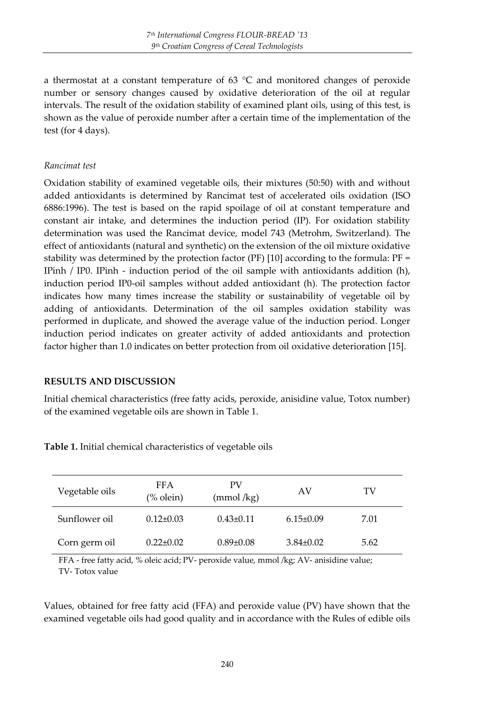a thermostat at a constant temperature of 63  $^{\circ}$ C and monitored changes of peroxide number or sensory changes caused by oxidative deterioration of the oil at regular intervals. The result of the oxidation stability of examined plant oils, using of this test, is shown as the value of peroxide number after a certain time of the implementation of the test (for 4 days).

#### *Rancimat test*

Oxidation stability of examined vegetable oils, their mixtures (50:50) with and without added antioxidants is determined by Rancimat test of accelerated oils oxidation (ISO 6886:1996). The test is based on the rapid spoilage of oil at constant temperature and constant air intake, and determines the induction period (IP). For oxidation stability determination was used the Rancimat device, model 743 (Metrohm, Switzerland). The effect of antioxidants (natural and synthetic) on the extension of the oil mixture oxidative stability was determined by the protection factor (PF)  $[10]$  according to the formula: PF = IPinh / IP0. IPinh - induction period of the oil sample with antioxidants addition (h), induction period IP0-oil samples without added antioxidant (h). The protection factor indicates how many times increase the stability or sustainability of vegetable oil by adding of antioxidants. Determination of the oil samples oxidation stability was performed in duplicate, and showed the average value of the induction period. Longer induction period indicates on greater activity of added antioxidants and protection factor higher than 1.0 indicates on better protection from oil oxidative deterioration [15].

#### **RESULTS AND DISCUSSION**

Initial chemical characteristics (free fatty acids, peroxide, anisidine value, Totox number) of the examined vegetable oils are shown in Table 1.

| Vegetable oils | FFA<br>$%$ olein $)$ | PV<br>$\pmod{\text{/kg}}$ | AV              | TV   |
|----------------|----------------------|---------------------------|-----------------|------|
| Sunflower oil  | $0.12 \pm 0.03$      | $0.43 \pm 0.11$           | $6.15 \pm 0.09$ | 7.01 |
| Corn germ oil  | $0.22 \pm 0.02$      | $0.89 \pm 0.08$           | $3.84 \pm 0.02$ | 5.62 |

**Table 1.** Initial chemical characteristics of vegetable oils

FFA - free fatty acid, % oleic acid; PV- peroxide value, mmol /kg; AV- anisidine value; TV- Totox value

Values, obtained for free fatty acid (FFA) and peroxide value (PV) have shown that the examined vegetable oils had good quality and in accordance with the Rules of edible oils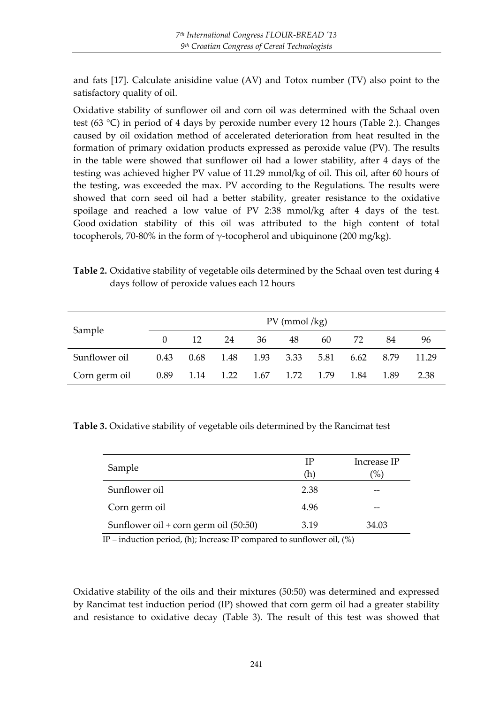and fats [17]. Calculate anisidine value (AV) and Totox number (TV) also point to the satisfactory quality of oil.

Oxidative stability of sunflower oil and corn oil was determined with the Schaal oven test (63 °C) in period of 4 days by peroxide number every 12 hours (Table 2.). Changes caused by oil oxidation method of accelerated deterioration from heat resulted in the formation of primary oxidation products expressed as peroxide value (PV). The results in the table were showed that sunflower oil had a lower stability, after 4 days of the testing was achieved higher PV value of 11.29 mmol/kg of oil. This oil, after 60 hours of the testing, was exceeded the max. PV according to the Regulations. The results were showed that corn seed oil had a better stability, greater resistance to the oxidative spoilage and reached a low value of PV 2:38 mmol/kg after 4 days of the test. Good oxidation stability of this oil was attributed to the high content of total tocopherols, 70-80% in the form of γ-tocopherol and ubiquinone (200 mg/kg).

| Table 2. Oxidative stability of vegetable oils determined by the Schaal oven test during 4 |  |  |  |
|--------------------------------------------------------------------------------------------|--|--|--|
| days follow of peroxide values each 12 hours                                               |  |  |  |

| Sample        | $PV$ (mmol /kg) |    |    |                                         |    |    |      |      |       |
|---------------|-----------------|----|----|-----------------------------------------|----|----|------|------|-------|
|               |                 | 12 | 24 | 36                                      | 48 | 60 | 72   | 84   | 96    |
| Sunflower oil | 0.43            |    |    | 0.68 1.48 1.93 3.33 5.81                |    |    | 6.62 | 8.79 | 11.29 |
| Corn germ oil |                 |    |    | 0.89   1.14   1.22   1.67   1.72   1.79 |    |    | 1.84 | 1.89 | 2.38  |

**Table 3.** Oxidative stability of vegetable oils determined by the Rancimat test

| Sample                                | ΙP<br>(h) | Increase IP<br>$\frac{1}{2}$ |
|---------------------------------------|-----------|------------------------------|
| Sunflower oil                         | 2.38      | --                           |
| Corn germ oil                         | 4.96      | --                           |
| Sunflower oil + corn germ oil (50:50) | 3.19      | 34.03                        |

IP – induction period, (h); Increase IP compared to sunflower oil, (%)

Oxidative stability of the oils and their mixtures (50:50) was determined and expressed by Rancimat test induction period (IP) showed that corn germ oil had a greater stability and resistance to oxidative decay (Table 3). The result of this test was showed that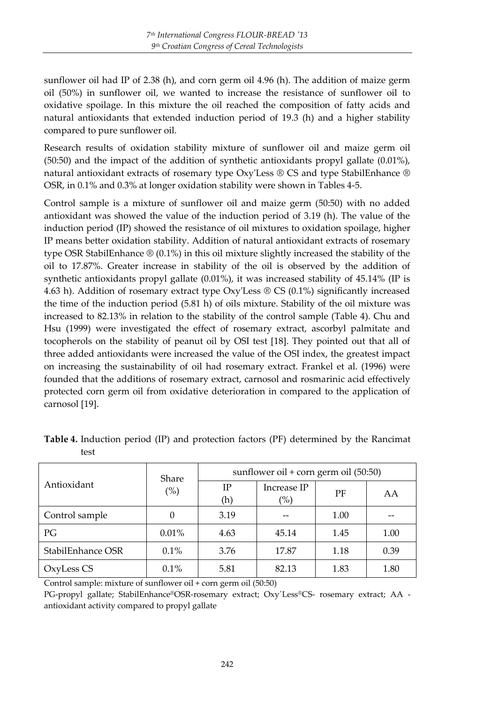sunflower oil had IP of 2.38 (h), and corn germ oil 4.96 (h). The addition of maize germ oil (50%) in sunflower oil, we wanted to increase the resistance of sunflower oil to oxidative spoilage. In this mixture the oil reached the composition of fatty acids and natural antioxidants that extended induction period of 19.3 (h) and a higher stability compared to pure sunflower oil.

Research results of oxidation stability mixture of sunflower oil and maize germ oil (50:50) and the impact of the addition of synthetic antioxidants propyl gallate (0.01%), natural antioxidant extracts of rosemary type Oxy'Less ® CS and type StabilEnhance ® OSR, in 0.1% and 0.3% at longer oxidation stability were shown in Tables 4-5.

Control sample is a mixture of sunflower oil and maize germ (50:50) with no added antioxidant was showed the value of the induction period of 3.19 (h). The value of the induction period (IP) showed the resistance of oil mixtures to oxidation spoilage, higher IP means better oxidation stability. Addition of natural antioxidant extracts of rosemary type OSR StabilEnhance ® (0.1%) in this oil mixture slightly increased the stability of the oil to 17.87%. Greater increase in stability of the oil is observed by the addition of synthetic antioxidants propyl gallate (0.01%), it was increased stability of 45.14% (IP is 4.63 h). Addition of rosemary extract type Oxy'Less ® CS (0.1%) significantly increased the time of the induction period (5.81 h) of oils mixture. Stability of the oil mixture was increased to 82.13% in relation to the stability of the control sample (Table 4). Chu and Hsu (1999) were investigated the effect of rosemary extract, ascorbyl palmitate and tocopherols on the stability of peanut oil by OSI test [18]. They pointed out that all of three added antioxidants were increased the value of the OSI index, the greatest impact on increasing the sustainability of oil had rosemary extract. Frankel et al. (1996) were founded that the additions of rosemary extract, carnosol and rosmarinic acid effectively protected corn germ oil from oxidative deterioration in compared to the application of carnosol [19].

| Antioxidant       | Share<br>(%) | sunflower oil + corn germ oil $(50:50)$ |                       |      |      |  |
|-------------------|--------------|-----------------------------------------|-----------------------|------|------|--|
|                   |              | <b>IP</b><br>(h)                        | Increase IP<br>$(\%)$ | PF   | AA   |  |
| Control sample    | 0            | 3.19                                    |                       | 1.00 |      |  |
| РG                | 0.01%        | 4.63                                    | 45.14                 | 1.45 | 1.00 |  |
| StabilEnhance OSR | 0.1%         | 3.76                                    | 17.87                 | 1.18 | 0.39 |  |
| OxyLess CS        | 0.1%         | 5.81                                    | 82.13                 | 1.83 | 1.80 |  |

**Table 4.** Induction period (IP) and protection factors (PF) determined by the Rancimat test

Control sample: mixture of sunflower oil + corn germ oil (50:50)

PG-propyl gallate; StabilEnhance®OSR-rosemary extract; Oxy'Less®CS- rosemary extract; AA antioxidant activity compared to propyl gallate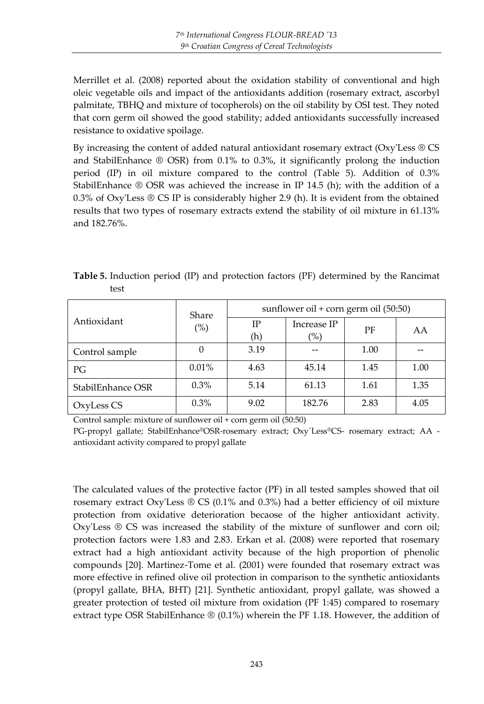Merrillet et al. (2008) reported about the oxidation stability of conventional and high oleic vegetable oils and impact of the antioxidants addition (rosemary extract, ascorbyl palmitate, TBHQ and mixture of tocopherols) on the oil stability by OSI test. They noted that corn germ oil showed the good stability; added antioxidants successfully increased resistance to oxidative spoilage.

By increasing the content of added natural antioxidant rosemary extract (Oxy'Less ® CS and StabilEnhance ® OSR) from 0.1% to 0.3%, it significantly prolong the induction period (IP) in oil mixture compared to the control (Table 5). Addition of 0.3% StabilEnhance ® OSR was achieved the increase in IP 14.5 (h); with the addition of a 0.3% of Oxy'Less  $\circledR$  CS IP is considerably higher 2.9 (h). It is evident from the obtained results that two types of rosemary extracts extend the stability of oil mixture in 61.13% and 182.76%.

**Table 5.** Induction period (IP) and protection factors (PF) determined by the Rancimat test

| Antioxidant       | Share<br>(%) | sunflower oil + corn germ oil (50:50) |                    |      |      |  |
|-------------------|--------------|---------------------------------------|--------------------|------|------|--|
|                   |              | IΡ<br>(h)                             | Increase IP<br>(%) | PF   | AA   |  |
| Control sample    | 0            | 3.19                                  |                    | 1.00 |      |  |
| PG                | 0.01%        | 4.63                                  | 45.14              | 1.45 | 1.00 |  |
| StabilEnhance OSR | $0.3\%$      | 5.14                                  | 61.13              | 1.61 | 1.35 |  |
| OxyLess CS        | $0.3\%$      | 9.02                                  | 182.76             | 2.83 | 4.05 |  |

Control sample: mixture of sunflower oil + corn germ oil (50:50)

PG-propyl gallate; StabilEnhance®OSR-rosemary extract; Oxy´Less®CS- rosemary extract; AA antioxidant activity compared to propyl gallate

The calculated values of the protective factor (PF) in all tested samples showed that oil rosemary extract Oxy'Less  $\mathcal D$  CS (0.1% and 0.3%) had a better efficiency of oil mixture protection from oxidative deterioration becaose of the higher antioxidant activity. Oxy'Less ® CS was increased the stability of the mixture of sunflower and corn oil; protection factors were 1.83 and 2.83. Erkan et al. (2008) were reported that rosemary extract had a high antioxidant activity because of the high proportion of phenolic compounds [20]. Martinez-Tome et al. (2001) were founded that rosemary extract was more effective in refined olive oil protection in comparison to the synthetic antioxidants (propyl gallate, BHA, BHT) [21]. Synthetic antioxidant, propyl gallate, was showed a greater protection of tested oil mixture from oxidation (PF 1:45) compared to rosemary extract type OSR StabilEnhance ® (0.1%) wherein the PF 1.18. However, the addition of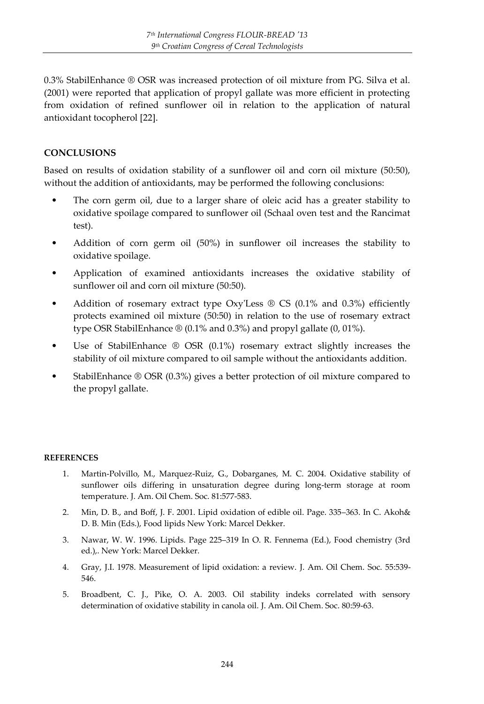0.3% StabilEnhance ® OSR was increased protection of oil mixture from PG. Silva et al. (2001) were reported that application of propyl gallate was more efficient in protecting from oxidation of refined sunflower oil in relation to the application of natural antioxidant tocopherol [22].

## **CONCLUSIONS**

Based on results of oxidation stability of a sunflower oil and corn oil mixture (50:50), without the addition of antioxidants, may be performed the following conclusions:

- The corn germ oil, due to a larger share of oleic acid has a greater stability to oxidative spoilage compared to sunflower oil (Schaal oven test and the Rancimat test).
- Addition of corn germ oil (50%) in sunflower oil increases the stability to oxidative spoilage.
- Application of examined antioxidants increases the oxidative stability of sunflower oil and corn oil mixture (50:50).
- Addition of rosemary extract type  $Oxy'Loss \otimes CS$  (0.1% and 0.3%) efficiently protects examined oil mixture (50:50) in relation to the use of rosemary extract type OSR StabilEnhance ® (0.1% and 0.3%) and propyl gallate (0, 01%).
- Use of StabilEnhance ® OSR (0.1%) rosemary extract slightly increases the stability of oil mixture compared to oil sample without the antioxidants addition.
- StabilEnhance ® OSR (0.3%) gives a better protection of oil mixture compared to the propyl gallate.

#### **REFERENCES**

- 1. Martin-Polvillo, M., Marquez-Ruiz, G., Dobarganes, M. C. 2004. Oxidative stability of sunflower oils differing in unsaturation degree during long-term storage at room temperature. J. Am. Oil Chem. Soc. 81:577-583.
- 2. Min, D. B., and Boff, J. F. 2001. Lipid oxidation of edible oil. Page. 335–363. In C. Akoh& D. B. Min (Eds.), Food lipids New York: Marcel Dekker.
- 3. Nawar, W. W. 1996. Lipids. Page 225–319 In O. R. Fennema (Ed.), Food chemistry (3rd ed.),. New York: Marcel Dekker.
- 4. Gray, J.I. 1978. Measurement of lipid oxidation: a review. J. Am. Oil Chem. Soc. 55:539- 546.
- 5. Broadbent, C. J., Pike, O. A. 2003. Oil stability indeks correlated with sensory determination of oxidative stability in canola oil. J. Am. Oil Chem. Soc. 80:59-63.